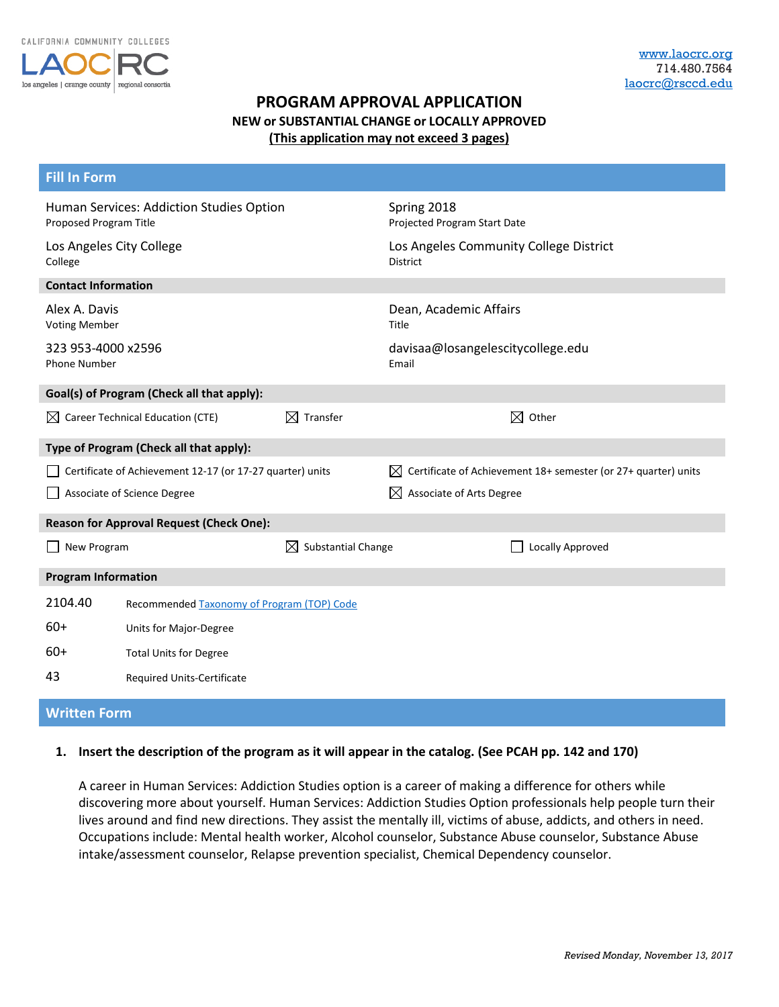

# **PROGRAM APPROVAL APPLICATION NEW or SUBSTANTIAL CHANGE or LOCALLY APPROVED (This application may not exceed 3 pages)**

| <b>Fill In Form</b>                                                |                                                 |                                                           |                                             |                                                                |  |  |  |
|--------------------------------------------------------------------|-------------------------------------------------|-----------------------------------------------------------|---------------------------------------------|----------------------------------------------------------------|--|--|--|
| Human Services: Addiction Studies Option<br>Proposed Program Title |                                                 |                                                           | Spring 2018<br>Projected Program Start Date |                                                                |  |  |  |
| Los Angeles City College<br>College                                |                                                 | Los Angeles Community College District<br><b>District</b> |                                             |                                                                |  |  |  |
| <b>Contact Information</b>                                         |                                                 |                                                           |                                             |                                                                |  |  |  |
| Alex A. Davis<br><b>Voting Member</b>                              |                                                 |                                                           | Dean, Academic Affairs<br>Title             |                                                                |  |  |  |
| 323 953-4000 x2596<br><b>Phone Number</b>                          |                                                 |                                                           | davisaa@losangelescitycollege.edu<br>Email  |                                                                |  |  |  |
| Goal(s) of Program (Check all that apply):                         |                                                 |                                                           |                                             |                                                                |  |  |  |
|                                                                    | $\boxtimes$ Career Technical Education (CTE)    | $\boxtimes$ Transfer                                      |                                             | M<br>Other                                                     |  |  |  |
|                                                                    | Type of Program (Check all that apply):         |                                                           |                                             |                                                                |  |  |  |
| Certificate of Achievement 12-17 (or 17-27 quarter) units          |                                                 |                                                           | M                                           | Certificate of Achievement 18+ semester (or 27+ quarter) units |  |  |  |
| Associate of Science Degree                                        |                                                 |                                                           | $\boxtimes$<br>Associate of Arts Degree     |                                                                |  |  |  |
|                                                                    | <b>Reason for Approval Request (Check One):</b> |                                                           |                                             |                                                                |  |  |  |
| New Program                                                        |                                                 | $\boxtimes$ Substantial Change                            |                                             | Locally Approved                                               |  |  |  |
| <b>Program Information</b>                                         |                                                 |                                                           |                                             |                                                                |  |  |  |
| 2104.40                                                            | Recommended Taxonomy of Program (TOP) Code      |                                                           |                                             |                                                                |  |  |  |
| $60+$                                                              | Units for Major-Degree                          |                                                           |                                             |                                                                |  |  |  |
| $60+$                                                              | <b>Total Units for Degree</b>                   |                                                           |                                             |                                                                |  |  |  |
| 43                                                                 | Required Units-Certificate                      |                                                           |                                             |                                                                |  |  |  |

## **Written Form**

#### **1. Insert the description of the program as it will appear in the catalog. (See PCAH pp. 142 and 170)**

A career in Human Services: Addiction Studies option is a career of making a difference for others while discovering more about yourself. Human Services: Addiction Studies Option professionals help people turn their lives around and find new directions. They assist the mentally ill, victims of abuse, addicts, and others in need. Occupations include: Mental health worker, Alcohol counselor, Substance Abuse counselor, Substance Abuse intake/assessment counselor, Relapse prevention specialist, Chemical Dependency counselor.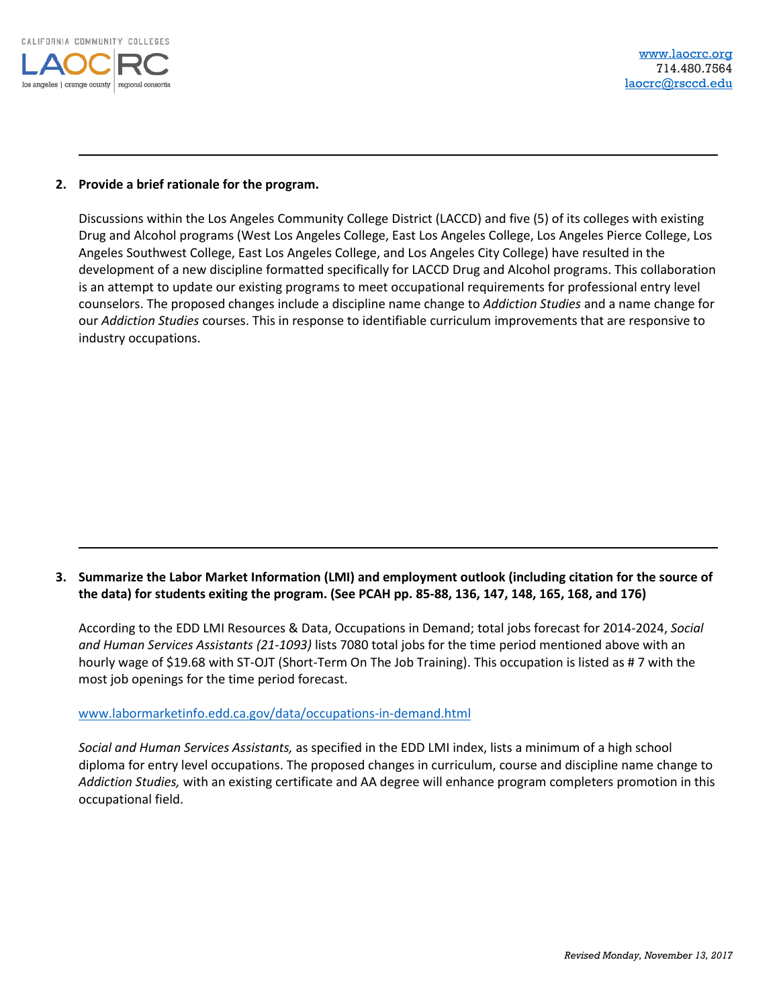

#### **2. Provide a brief rationale for the program.**

Discussions within the Los Angeles Community College District (LACCD) and five (5) of its colleges with existing Drug and Alcohol programs (West Los Angeles College, East Los Angeles College, Los Angeles Pierce College, Los Angeles Southwest College, East Los Angeles College, and Los Angeles City College) have resulted in the development of a new discipline formatted specifically for LACCD Drug and Alcohol programs. This collaboration is an attempt to update our existing programs to meet occupational requirements for professional entry level counselors. The proposed changes include a discipline name change to *Addiction Studies* and a name change for our *Addiction Studies* courses. This in response to identifiable curriculum improvements that are responsive to industry occupations.

### **3. Summarize the Labor Market Information (LMI) and employment outlook (including citation for the source of the data) for students exiting the program. (See PCAH pp. 85-88, 136, 147, 148, 165, 168, and 176)**

According to the EDD LMI Resources & Data, Occupations in Demand; total jobs forecast for 2014-2024, *Social and Human Services Assistants (21-1093)* lists 7080 total jobs for the time period mentioned above with an hourly wage of \$19.68 with ST-OJT (Short-Term On The Job Training). This occupation is listed as # 7 with the most job openings for the time period forecast.

[www.labormarketinfo.edd.ca.gov/data/occupations-in-demand.html](http://www.labormarketinfo.edd.ca.gov/data/occupations-in-demand.html)

*Social and Human Services Assistants,* as specified in the EDD LMI index, lists a minimum of a high school diploma for entry level occupations. The proposed changes in curriculum, course and discipline name change to *Addiction Studies,* with an existing certificate and AA degree will enhance program completers promotion in this occupational field.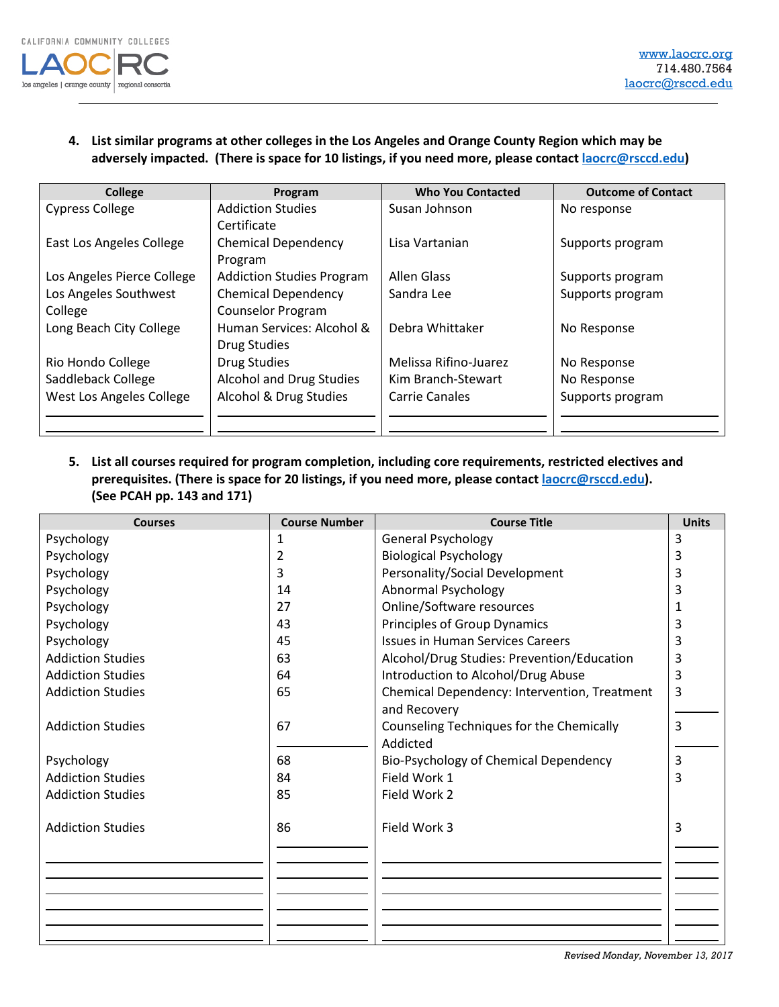

## **4. List similar programs at other colleges in the Los Angeles and Orange County Region which may be adversely impacted. (There is space for 10 listings, if you need more, please contact [laocrc@rsccd.edu\)](mailto:laocrc@rsccd.edu)**

| <b>College</b>             | Program                          | <b>Who You Contacted</b> | <b>Outcome of Contact</b> |
|----------------------------|----------------------------------|--------------------------|---------------------------|
| <b>Cypress College</b>     | <b>Addiction Studies</b>         | Susan Johnson            | No response               |
|                            | Certificate                      |                          |                           |
| East Los Angeles College   | <b>Chemical Dependency</b>       | Lisa Vartanian           | Supports program          |
|                            | Program                          |                          |                           |
| Los Angeles Pierce College | <b>Addiction Studies Program</b> | <b>Allen Glass</b>       | Supports program          |
| Los Angeles Southwest      | <b>Chemical Dependency</b>       | Sandra Lee               | Supports program          |
| College                    | <b>Counselor Program</b>         |                          |                           |
| Long Beach City College    | Human Services: Alcohol &        | Debra Whittaker          | No Response               |
|                            | <b>Drug Studies</b>              |                          |                           |
| Rio Hondo College          | <b>Drug Studies</b>              | Melissa Rifino-Juarez    | No Response               |
| Saddleback College         | Alcohol and Drug Studies         | Kim Branch-Stewart       | No Response               |
| West Los Angeles College   | Alcohol & Drug Studies           | Carrie Canales           | Supports program          |
|                            |                                  |                          |                           |
|                            |                                  |                          |                           |

**5. List all courses required for program completion, including core requirements, restricted electives and prerequisites. (There is space for 20 listings, if you need more, please contact [laocrc@rsccd.edu\)](mailto:laocrc@rsccd.edu). (See PCAH pp. 143 and 171)**

| <b>Courses</b>                         | <b>Course Number</b> | <b>Course Title</b>                                   | <b>Units</b> |
|----------------------------------------|----------------------|-------------------------------------------------------|--------------|
| Psychology                             | 1                    | <b>General Psychology</b>                             | 3            |
| Psychology                             | 2                    | <b>Biological Psychology</b>                          | 3            |
| Psychology                             | 3                    | Personality/Social Development                        | 3            |
| Psychology                             | 14                   | <b>Abnormal Psychology</b>                            | 3            |
| Psychology                             | 27                   | Online/Software resources                             | 1            |
| Psychology                             | 43                   | Principles of Group Dynamics                          | 3            |
| Psychology                             | 45                   | <b>Issues in Human Services Careers</b>               | 3            |
| <b>Addiction Studies</b>               | 63                   | Alcohol/Drug Studies: Prevention/Education            | 3            |
| <b>Addiction Studies</b>               | 64                   | Introduction to Alcohol/Drug Abuse                    | 3            |
| <b>Addiction Studies</b>               | 65                   | Chemical Dependency: Intervention, Treatment          | 3            |
| <b>Addiction Studies</b>               | 67                   | and Recovery                                          | 3            |
|                                        |                      | Counseling Techniques for the Chemically<br>Addicted  |              |
|                                        | 68                   |                                                       | 3            |
| Psychology<br><b>Addiction Studies</b> | 84                   | Bio-Psychology of Chemical Dependency<br>Field Work 1 | 3            |
| <b>Addiction Studies</b>               | 85                   | Field Work 2                                          |              |
|                                        |                      |                                                       |              |
| <b>Addiction Studies</b>               | 86                   | Field Work 3                                          | 3            |
|                                        |                      |                                                       |              |
|                                        |                      |                                                       |              |
|                                        |                      |                                                       |              |
|                                        |                      |                                                       |              |
|                                        |                      |                                                       |              |
|                                        |                      |                                                       |              |

*Revised Monday, November 13, 2017*